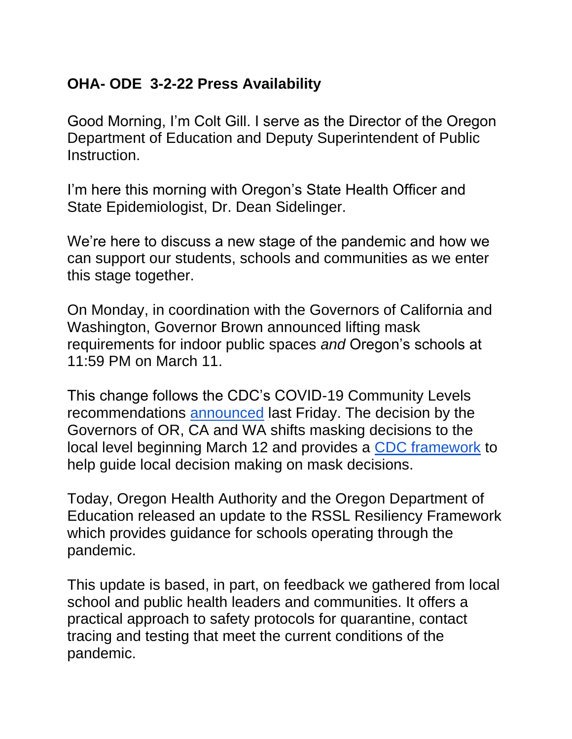## **OHA- ODE 3-2-22 Press Availability**

Good Morning, I'm Colt Gill. I serve as the Director of the Oregon Department of Education and Deputy Superintendent of Public **Instruction** 

I'm here this morning with Oregon's State Health Officer and State Epidemiologist, Dr. Dean Sidelinger.

We're here to discuss a new stage of the pandemic and how we can support our students, schools and communities as we enter this stage together.

On Monday, in coordination with the Governors of California and Washington, Governor Brown announced lifting mask requirements for indoor public spaces *and* Oregon's schools at 11:59 PM on March 11.

This change follows the CDC's COVID-19 Community Levels recommendations [announced](https://www.cdc.gov/coronavirus/2019-ncov/science/community-levels.html#anchor_47145) last Friday. The decision by the Governors of OR, CA and WA shifts masking decisions to the local level beginning March 12 and provides a [CDC framework](https://www.cdc.gov/coronavirus/2019-ncov/science/community-levels.html#anchor_47145) to help guide local decision making on mask decisions.

Today, Oregon Health Authority and the Oregon Department of Education released an update to the RSSL Resiliency Framework which provides guidance for schools operating through the pandemic.

This update is based, in part, on feedback we gathered from local school and public health leaders and communities. It offers a practical approach to safety protocols for quarantine, contact tracing and testing that meet the current conditions of the pandemic.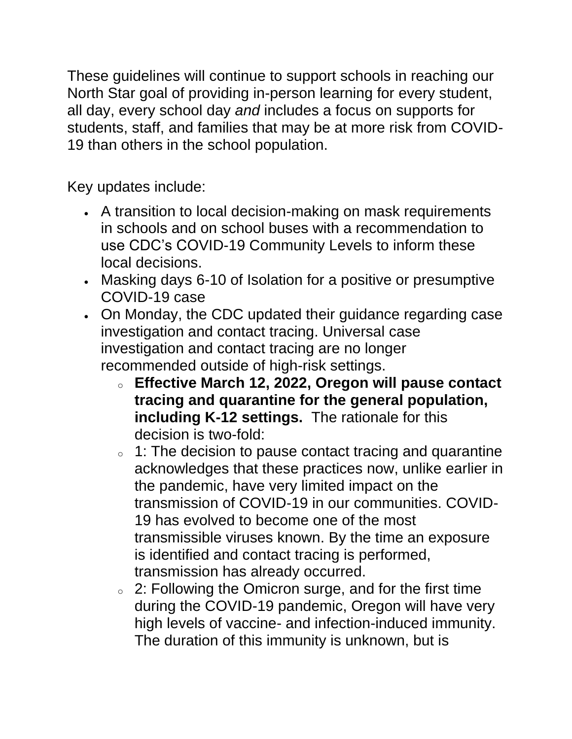These guidelines will continue to support schools in reaching our North Star goal of providing in-person learning for every student, all day, every school day *and* includes a focus on supports for students, staff, and families that may be at more risk from COVID-19 than others in the school population.

Key updates include:

- A transition to local decision-making on mask requirements in schools and on school buses with a recommendation to use CDC's COVID-19 Community Levels to inform these local decisions.
- Masking days 6-10 of Isolation for a positive or presumptive COVID-19 case
- On Monday, the CDC updated their guidance regarding case investigation and contact tracing. Universal case investigation and contact tracing are no longer recommended outside of high-risk settings.
	- <sup>o</sup> **Effective March 12, 2022, Oregon will pause contact tracing and quarantine for the general population, including K-12 settings.** The rationale for this decision is two-fold:
	- o 1: The decision to pause contact tracing and quarantine acknowledges that these practices now, unlike earlier in the pandemic, have very limited impact on the transmission of COVID-19 in our communities. COVID-19 has evolved to become one of the most transmissible viruses known. By the time an exposure is identified and contact tracing is performed, transmission has already occurred.
	- <sup>o</sup> 2: Following the Omicron surge, and for the first time during the COVID-19 pandemic, Oregon will have very high levels of vaccine- and infection-induced immunity. The duration of this immunity is unknown, but is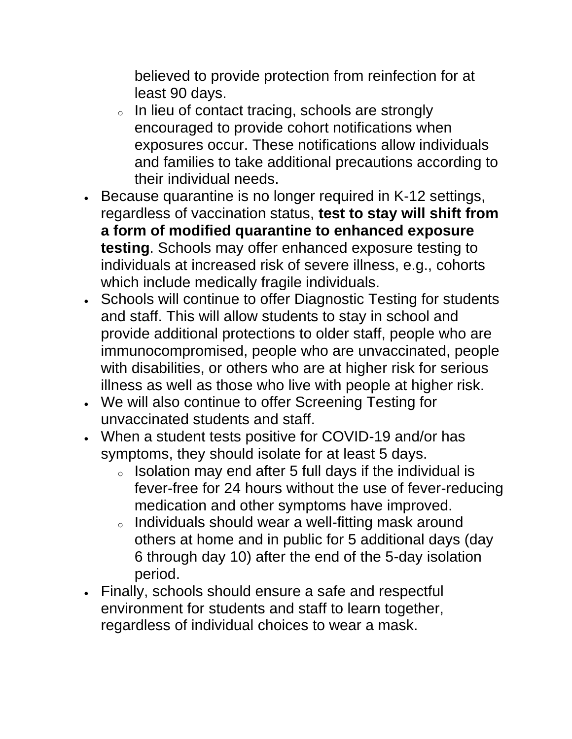believed to provide protection from reinfection for at least 90 days.

- o In lieu of contact tracing, schools are strongly encouraged to provide cohort notifications when exposures occur. These notifications allow individuals and families to take additional precautions according to their individual needs.
- Because quarantine is no longer required in K-12 settings, regardless of vaccination status, **test to stay will shift from a form of modified quarantine to enhanced exposure testing**. Schools may offer enhanced exposure testing to individuals at increased risk of severe illness, e.g., cohorts which include medically fragile individuals.
- Schools will continue to offer Diagnostic Testing for students and staff. This will allow students to stay in school and provide additional protections to older staff, people who are immunocompromised, people who are unvaccinated, people with disabilities, or others who are at higher risk for serious illness as well as those who live with people at higher risk.
- We will also continue to offer Screening Testing for unvaccinated students and staff.
- When a student tests positive for COVID-19 and/or has symptoms, they should isolate for at least 5 days.
	- $\circ$  Isolation may end after 5 full days if the individual is fever-free for 24 hours without the use of fever-reducing medication and other symptoms have improved.
	- <sup>o</sup> Individuals should wear a well-fitting mask around others at home and in public for 5 additional days (day 6 through day 10) after the end of the 5-day isolation period.
- Finally, schools should ensure a safe and respectful environment for students and staff to learn together, regardless of individual choices to wear a mask.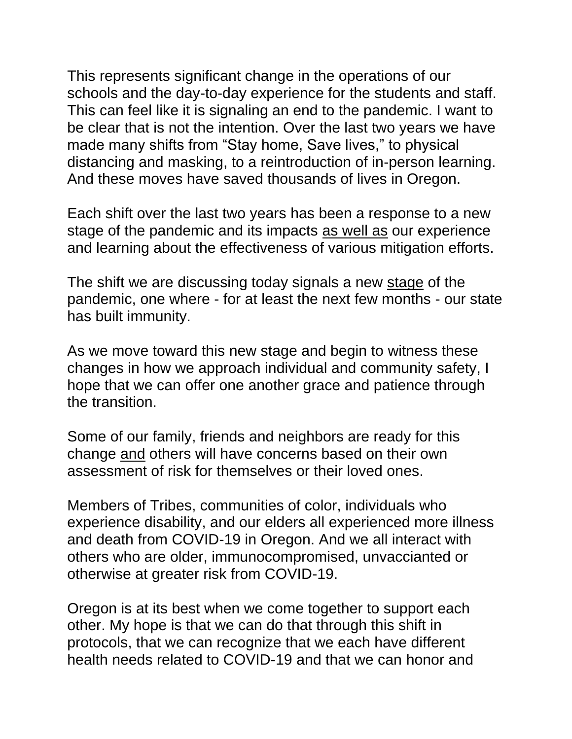This represents significant change in the operations of our schools and the day-to-day experience for the students and staff. This can feel like it is signaling an end to the pandemic. I want to be clear that is not the intention. Over the last two years we have made many shifts from "Stay home, Save lives," to physical distancing and masking, to a reintroduction of in-person learning. And these moves have saved thousands of lives in Oregon.

Each shift over the last two years has been a response to a new stage of the pandemic and its impacts as well as our experience and learning about the effectiveness of various mitigation efforts.

The shift we are discussing today signals a new stage of the pandemic, one where - for at least the next few months - our state has built immunity.

As we move toward this new stage and begin to witness these changes in how we approach individual and community safety, I hope that we can offer one another grace and patience through the transition.

Some of our family, friends and neighbors are ready for this change and others will have concerns based on their own assessment of risk for themselves or their loved ones.

Members of Tribes, communities of color, individuals who experience disability, and our elders all experienced more illness and death from COVID-19 in Oregon. And we all interact with others who are older, immunocompromised, unvaccianted or otherwise at greater risk from COVID-19.

Oregon is at its best when we come together to support each other. My hope is that we can do that through this shift in protocols, that we can recognize that we each have different health needs related to COVID-19 and that we can honor and